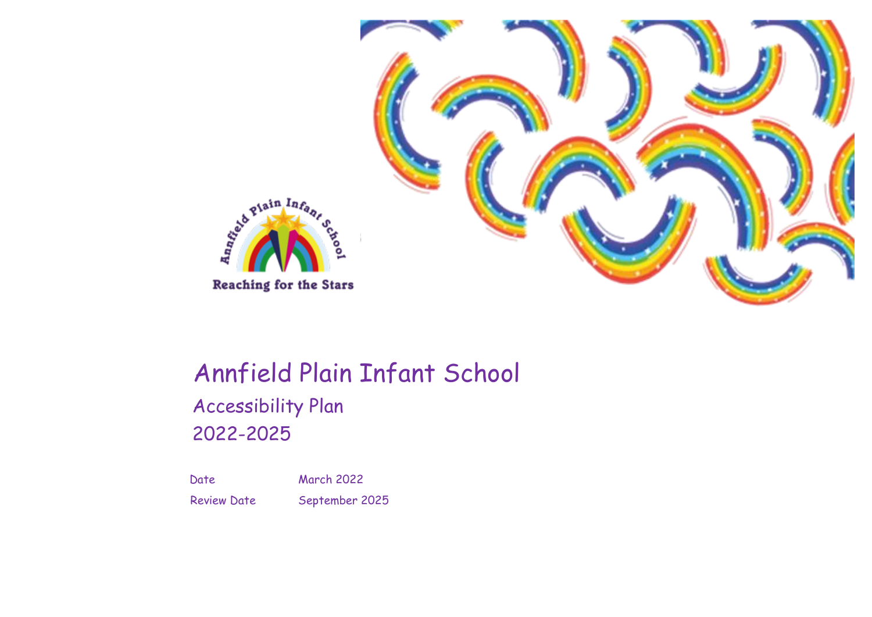

# Annfield Plain Infant School Accessibility Plan

2022-2025

Date March 2022 Review Date September 2025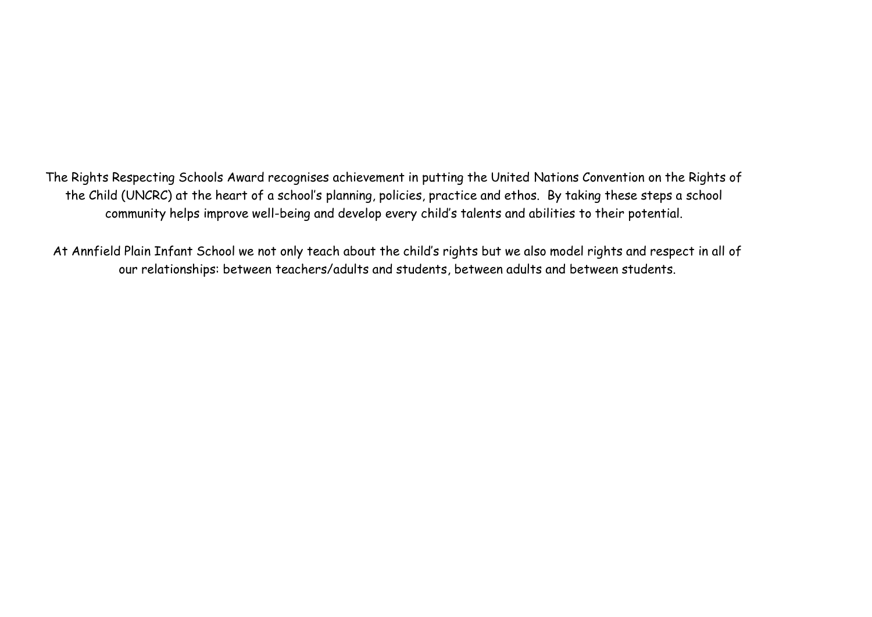The Rights Respecting Schools Award recognises achievement in putting the United Nations Convention on the Rights of the Child (UNCRC) at the heart of a school's planning, policies, practice and ethos. By taking these steps a school community helps improve well-being and develop every child's talents and abilities to their potential.

At Annfield Plain Infant School we not only teach about the child's rights but we also model rights and respect in all of our relationships: between teachers/adults and students, between adults and between students.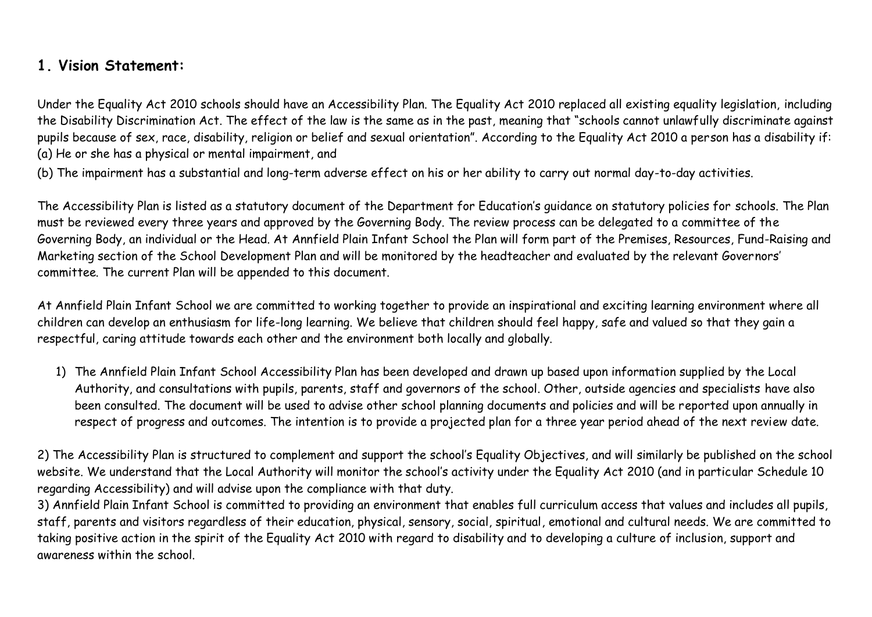## **1. Vision Statement:**

Under the Equality Act 2010 schools should have an Accessibility Plan. The Equality Act 2010 replaced all existing equality legislation, including the Disability Discrimination Act. The effect of the law is the same as in the past, meaning that "schools cannot unlawfully discriminate against pupils because of sex, race, disability, religion or belief and sexual orientation". According to the Equality Act 2010 a person has a disability if: (a) He or she has a physical or mental impairment, and

(b) The impairment has a substantial and long-term adverse effect on his or her ability to carry out normal day-to-day activities.

The Accessibility Plan is listed as a statutory document of the Department for Education's guidance on statutory policies for schools. The Plan must be reviewed every three years and approved by the Governing Body. The review process can be delegated to a committee of the Governing Body, an individual or the Head. At Annfield Plain Infant School the Plan will form part of the Premises, Resources, Fund-Raising and Marketing section of the School Development Plan and will be monitored by the headteacher and evaluated by the relevant Governors' committee. The current Plan will be appended to this document.

At Annfield Plain Infant School we are committed to working together to provide an inspirational and exciting learning environment where all children can develop an enthusiasm for life-long learning. We believe that children should feel happy, safe and valued so that they gain a respectful, caring attitude towards each other and the environment both locally and globally.

1) The Annfield Plain Infant School Accessibility Plan has been developed and drawn up based upon information supplied by the Local Authority, and consultations with pupils, parents, staff and governors of the school. Other, outside agencies and specialists have also been consulted. The document will be used to advise other school planning documents and policies and will be reported upon annually in respect of progress and outcomes. The intention is to provide a projected plan for a three year period ahead of the next review date.

2) The Accessibility Plan is structured to complement and support the school's Equality Objectives, and will similarly be published on the school website. We understand that the Local Authority will monitor the school's activity under the Equality Act 2010 (and in particular Schedule 10 regarding Accessibility) and will advise upon the compliance with that duty.

3) Annfield Plain Infant School is committed to providing an environment that enables full curriculum access that values and includes all pupils, staff, parents and visitors regardless of their education, physical, sensory, social, spiritual, emotional and cultural needs. We are committed to taking positive action in the spirit of the Equality Act 2010 with regard to disability and to developing a culture of inclusion, support and awareness within the school.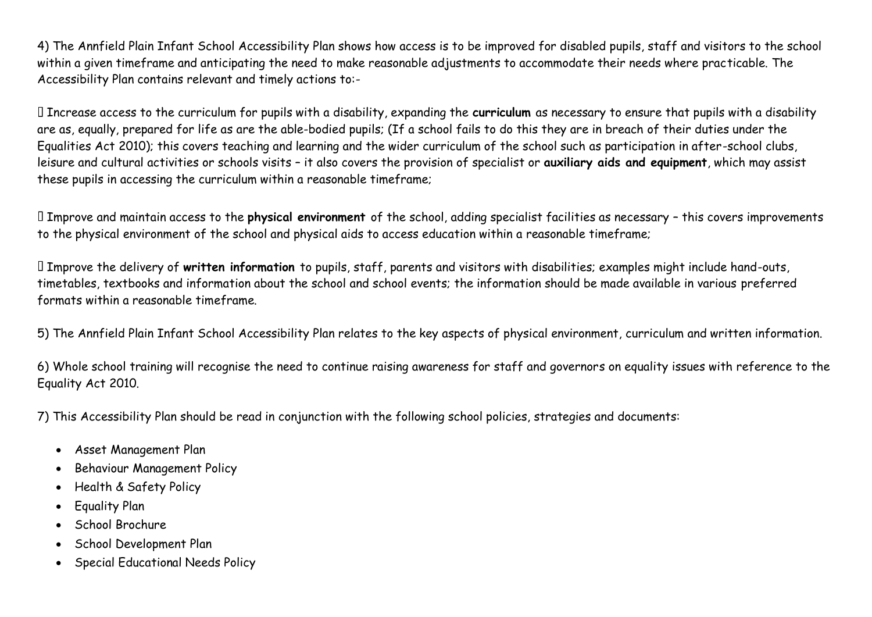4) The Annfield Plain Infant School Accessibility Plan shows how access is to be improved for disabled pupils, staff and visitors to the school within a given timeframe and anticipating the need to make reasonable adjustments to accommodate their needs where practicable. The Accessibility Plan contains relevant and timely actions to:-

Increase access to the curriculum for pupils with a disability, expanding the **curriculum** as necessary to ensure that pupils with a disability are as, equally, prepared for life as are the able-bodied pupils; (If a school fails to do this they are in breach of their duties under the Equalities Act 2010); this covers teaching and learning and the wider curriculum of the school such as participation in after-school clubs, leisure and cultural activities or schools visits – it also covers the provision of specialist or **auxiliary aids and equipment**, which may assist these pupils in accessing the curriculum within a reasonable timeframe;

Improve and maintain access to the **physical environment** of the school, adding specialist facilities as necessary – this covers improvements to the physical environment of the school and physical aids to access education within a reasonable timeframe;

Improve the delivery of **written information** to pupils, staff, parents and visitors with disabilities; examples might include hand-outs, timetables, textbooks and information about the school and school events; the information should be made available in various preferred formats within a reasonable timeframe.

5) The Annfield Plain Infant School Accessibility Plan relates to the key aspects of physical environment, curriculum and written information.

6) Whole school training will recognise the need to continue raising awareness for staff and governors on equality issues with reference to the Equality Act 2010.

7) This Accessibility Plan should be read in conjunction with the following school policies, strategies and documents:

- Asset Management Plan
- Behaviour Management Policy
- Health & Safety Policy
- Equality Plan
- School Brochure
- School Development Plan
- Special Educational Needs Policy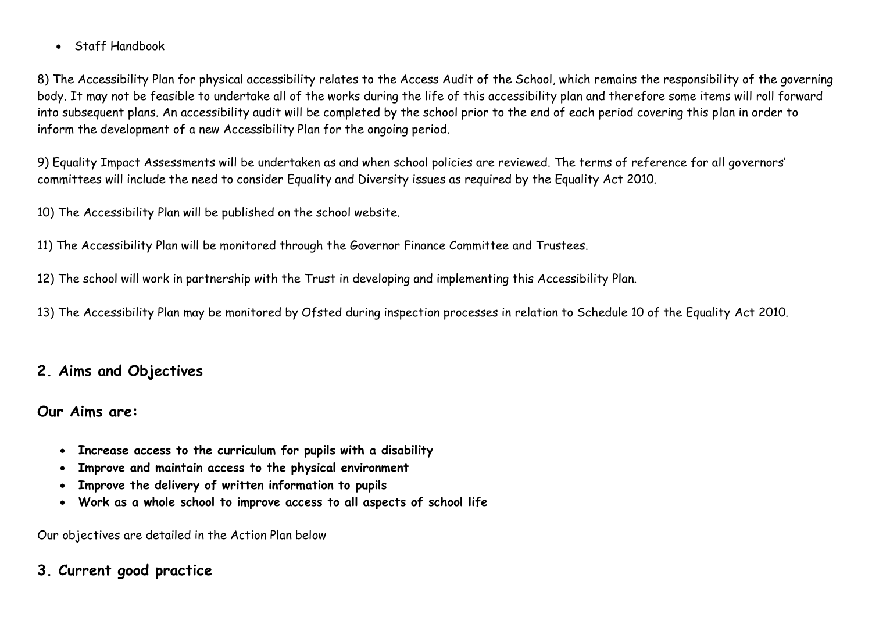• Staff Handbook

8) The Accessibility Plan for physical accessibility relates to the Access Audit of the School, which remains the responsibility of the governing body. It may not be feasible to undertake all of the works during the life of this accessibility plan and therefore some items will roll forward into subsequent plans. An accessibility audit will be completed by the school prior to the end of each period covering this plan in order to inform the development of a new Accessibility Plan for the ongoing period.

9) Equality Impact Assessments will be undertaken as and when school policies are reviewed. The terms of reference for all governors' committees will include the need to consider Equality and Diversity issues as required by the Equality Act 2010.

10) The Accessibility Plan will be published on the school website.

11) The Accessibility Plan will be monitored through the Governor Finance Committee and Trustees.

12) The school will work in partnership with the Trust in developing and implementing this Accessibility Plan.

13) The Accessibility Plan may be monitored by Ofsted during inspection processes in relation to Schedule 10 of the Equality Act 2010.

# **2. Aims and Objectives**

## **Our Aims are:**

- **Increase access to the curriculum for pupils with a disability**
- **Improve and maintain access to the physical environment**
- **Improve the delivery of written information to pupils**
- **Work as a whole school to improve access to all aspects of school life**

Our objectives are detailed in the Action Plan below

# **3. Current good practice**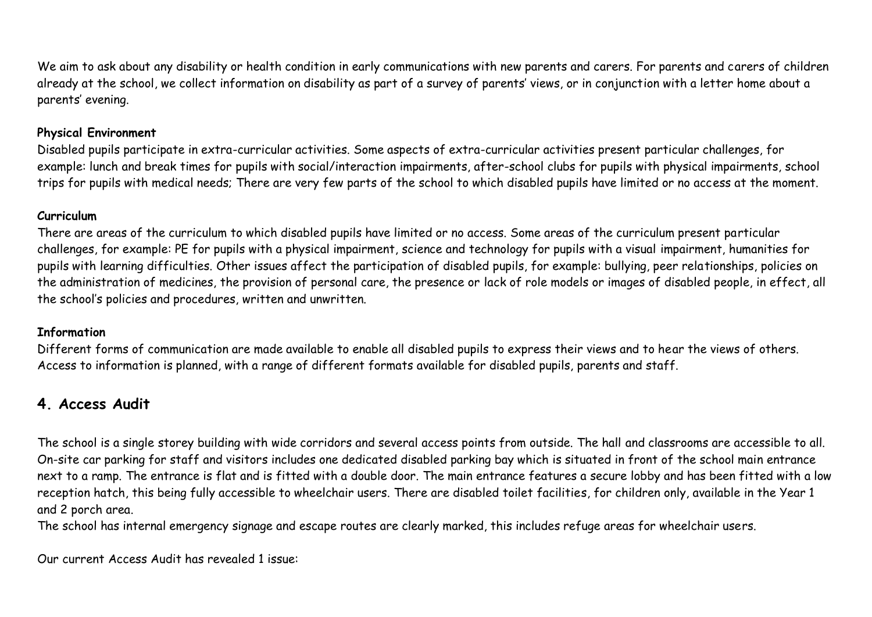We aim to ask about any disability or health condition in early communications with new parents and carers. For parents and carers of children already at the school, we collect information on disability as part of a survey of parents' views, or in conjunction with a letter home about a parents' evening.

#### **Physical Environment**

Disabled pupils participate in extra-curricular activities. Some aspects of extra-curricular activities present particular challenges, for example: lunch and break times for pupils with social/interaction impairments, after-school clubs for pupils with physical impairments, school trips for pupils with medical needs; There are very few parts of the school to which disabled pupils have limited or no access at the moment.

### **Curriculum**

There are areas of the curriculum to which disabled pupils have limited or no access. Some areas of the curriculum present particular challenges, for example: PE for pupils with a physical impairment, science and technology for pupils with a visual impairment, humanities for pupils with learning difficulties. Other issues affect the participation of disabled pupils, for example: bullying, peer relationships, policies on the administration of medicines, the provision of personal care, the presence or lack of role models or images of disabled people, in effect, all the school's policies and procedures, written and unwritten.

## **Information**

Different forms of communication are made available to enable all disabled pupils to express their views and to hear the views of others. Access to information is planned, with a range of different formats available for disabled pupils, parents and staff.

# **4. Access Audit**

The school is a single storey building with wide corridors and several access points from outside. The hall and classrooms are accessible to all. On-site car parking for staff and visitors includes one dedicated disabled parking bay which is situated in front of the school main entrance next to a ramp. The entrance is flat and is fitted with a double door. The main entrance features a secure lobby and has been fitted with a low reception hatch, this being fully accessible to wheelchair users. There are disabled toilet facilities, for children only, available in the Year 1 and 2 porch area.

The school has internal emergency signage and escape routes are clearly marked, this includes refuge areas for wheelchair users.

Our current Access Audit has revealed 1 issue: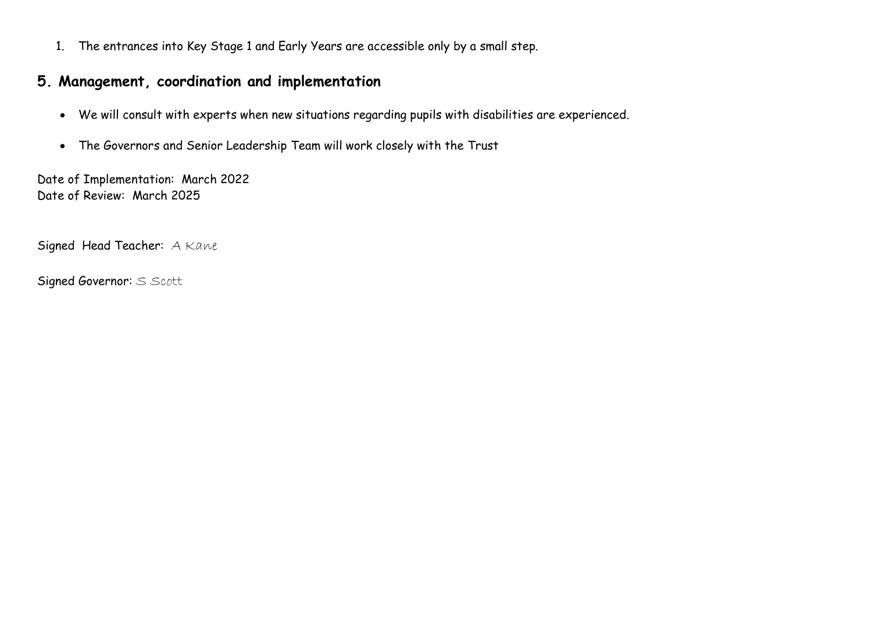1. The entrances into Key Stage 1 and Early Years are accessible only by a small step.

# **5. Management, coordination and implementation**

- We will consult with experts when new situations regarding pupils with disabilities are experienced.
- The Governors and Senior Leadership Team will work closely with the Trust

Date of Implementation: March 2022 Date of Review: March 2025

Signed Head Teacher: A Kane

Signed Governor: S Scott